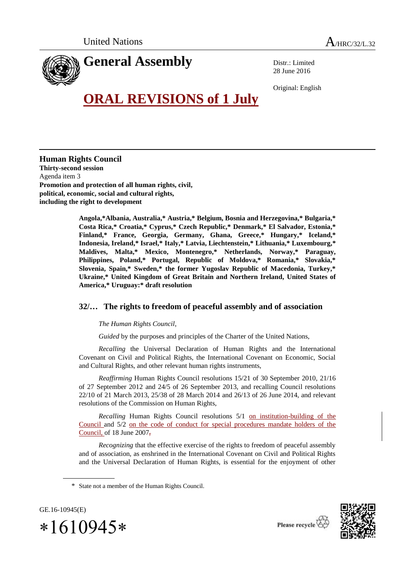

Distr.: Limited 28 June 2016

Original: English

## **ORAL REVISIONS of 1 July**

**Human Rights Council Thirty-second session** Agenda item 3 **Promotion and protection of all human rights, civil, political, economic, social and cultural rights, including the right to development**

> **Angola,\*Albania, Australia,\* Austria,\* Belgium, Bosnia and Herzegovina,\* Bulgaria,\* Costa Rica,\* Croatia,\* Cyprus,\* Czech Republic,\* Denmark,\* El Salvador, Estonia,\* Finland,\* France, Georgia, Germany, Ghana, Greece,\* Hungary,\* Iceland,\* Indonesia, Ireland,\* Israel,\* Italy,\* Latvia, Liechtenstein,\* Lithuania,\* Luxembourg,\* Maldives, Malta,\* Mexico, Montenegro,\* Netherlands, Norway,\* Paraguay, Philippines, Poland,\* Portugal, Republic of Moldova,\* Romania,\* Slovakia,\* Slovenia, Spain,\* Sweden,\* the former Yugoslav Republic of Macedonia, Turkey,\* Ukraine,\* United Kingdom of Great Britain and Northern Ireland, United States of America,\* Uruguay:\* draft resolution**

## **32/… The rights to freedom of peaceful assembly and of association**

*The Human Rights Council*,

*Guided* by the purposes and principles of the Charter of the United Nations,

*Recalling* the Universal Declaration of Human Rights and the International Covenant on Civil and Political Rights, the International Covenant on Economic, Social and Cultural Rights, and other relevant human rights instruments,

*Reaffirming* Human Rights Council resolutions 15/21 of 30 September 2010, 21/16 of 27 September 2012 and 24/5 of 26 September 2013, and recalling Council resolutions 22/10 of 21 March 2013, 25/38 of 28 March 2014 and 26/13 of 26 June 2014, and relevant resolutions of the Commission on Human Rights,

*Recalling* Human Rights Council resolutions 5/1 on institution-building of the Council and 5/2 on the code of conduct for special procedures mandate holders of the Council, of 18 June 2007,

*Recognizing* that the effective exercise of the rights to freedom of peaceful assembly and of association, as enshrined in the International Covenant on Civil and Political Rights and the Universal Declaration of Human Rights, is essential for the enjoyment of other

GE.16-10945(E)  $*1610945*$ 





<sup>\*</sup> State not a member of the Human Rights Council.